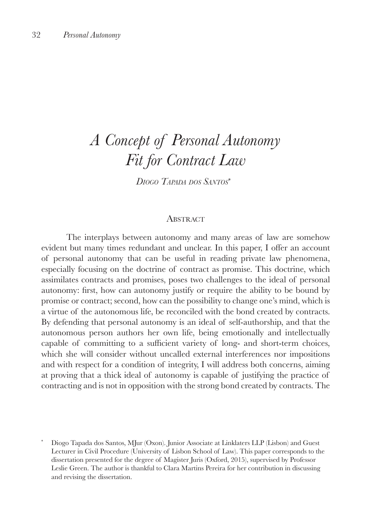# *A Concept of Personal Autonomy Fit for Contract Law*

*Diogo Tapada dos Santos*<sup>∗</sup>*<sup>1</sup>*

#### **ABSTRACT**

The interplays between autonomy and many areas of law are somehow evident but many times redundant and unclear. In this paper, I offer an account of personal autonomy that can be useful in reading private law phenomena, especially focusing on the doctrine of contract as promise. This doctrine, which assimilates contracts and promises, poses two challenges to the ideal of personal autonomy: first, how can autonomy justify or require the ability to be bound by promise or contract; second, how can the possibility to change one's mind, which is a virtue of the autonomous life, be reconciled with the bond created by contracts. By defending that personal autonomy is an ideal of self-authorship, and that the autonomous person authors her own life, being emotionally and intellectually capable of committing to a sufficient variety of long- and short-term choices, which she will consider without uncalled external interferences nor impositions and with respect for a condition of integrity, I will address both concerns, aiming at proving that a thick ideal of autonomy is capable of justifying the practice of contracting and is not in opposition with the strong bond created by contracts. The

\* Diogo Tapada dos Santos, MJur (Oxon). Junior Associate at Linklaters LLP (Lisbon) and Guest Lecturer in Civil Procedure (University of Lisbon School of Law). This paper corresponds to the dissertation presented for the degree of Magister Juris (Oxford, 2015), supervised by Professor Leslie Green. The author is thankful to Clara Martins Pereira for her contribution in discussing and revising the dissertation.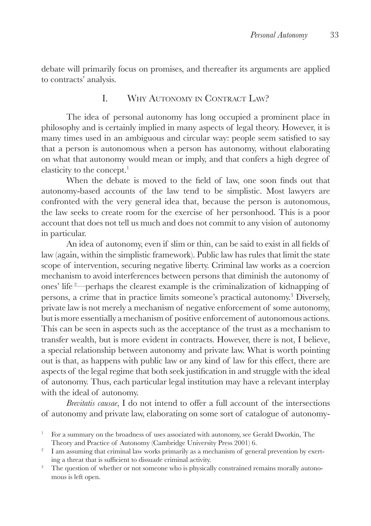debate will primarily focus on promises, and thereafter its arguments are applied to contracts' analysis.

## I. Why Autonomy in Contract Law?

The idea of personal autonomy has long occupied a prominent place in philosophy and is certainly implied in many aspects of legal theory. However, it is many times used in an ambiguous and circular way: people seem satisfied to say that a person is autonomous when a person has autonomy, without elaborating on what that autonomy would mean or imply, and that confers a high degree of elasticity to the concept.<sup>1</sup>

When the debate is moved to the field of law, one soon finds out that autonomy-based accounts of the law tend to be simplistic. Most lawyers are confronted with the very general idea that, because the person is autonomous, the law seeks to create room for the exercise of her personhood. This is a poor account that does not tell us much and does not commit to any vision of autonomy in particular.

An idea of autonomy, even if slim or thin, can be said to exist in all fields of law (again, within the simplistic framework). Public law has rules that limit the state scope of intervention, securing negative liberty. Criminal law works as a coercion mechanism to avoid interferences between persons that diminish the autonomy of ones' life <sup>2</sup> —perhaps the clearest example is the criminalization of kidnapping of persons, a crime that in practice limits someone's practical autonomy.3 Diversely, private law is not merely a mechanism of negative enforcement of some autonomy, but is more essentially a mechanism of positive enforcement of autonomous actions. This can be seen in aspects such as the acceptance of the trust as a mechanism to transfer wealth, but is more evident in contracts. However, there is not, I believe, a special relationship between autonomy and private law. What is worth pointing out is that, as happens with public law or any kind of law for this effect, there are aspects of the legal regime that both seek justification in and struggle with the ideal of autonomy. Thus, each particular legal institution may have a relevant interplay with the ideal of autonomy.

*Brevitatis causae*, I do not intend to offer a full account of the intersections of autonomy and private law, elaborating on some sort of catalogue of autonomy-

<sup>1</sup> For a summary on the broadness of uses associated with autonomy, see Gerald Dworkin, The Theory and Practice of Autonomy (Cambridge University Press 2001) 6.

<sup>&</sup>lt;sup>2</sup> I am assuming that criminal law works primarily as a mechanism of general prevention by exerting a threat that is sufficient to dissuade criminal activity.

<sup>&</sup>lt;sup>3</sup> The question of whether or not someone who is physically constrained remains morally autonomous is left open.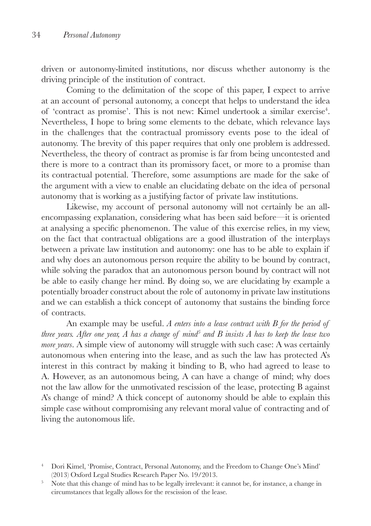driven or autonomy-limited institutions, nor discuss whether autonomy is the driving principle of the institution of contract.

Coming to the delimitation of the scope of this paper, I expect to arrive at an account of personal autonomy, a concept that helps to understand the idea of 'contract as promise'. This is not new: Kimel undertook a similar exercise<sup>4</sup>. Nevertheless, I hope to bring some elements to the debate, which relevance lays in the challenges that the contractual promissory events pose to the ideal of autonomy. The brevity of this paper requires that only one problem is addressed. Nevertheless, the theory of contract as promise is far from being uncontested and there is more to a contract than its promissory facet, or more to a promise than its contractual potential. Therefore, some assumptions are made for the sake of the argument with a view to enable an elucidating debate on the idea of personal autonomy that is working as a justifying factor of private law institutions.

Likewise, my account of personal autonomy will not certainly be an allencompassing explanation, considering what has been said before—it is oriented at analysing a specific phenomenon. The value of this exercise relies, in my view, on the fact that contractual obligations are a good illustration of the interplays between a private law institution and autonomy: one has to be able to explain if and why does an autonomous person require the ability to be bound by contract, while solving the paradox that an autonomous person bound by contract will not be able to easily change her mind. By doing so, we are elucidating by example a potentially broader construct about the role of autonomy in private law institutions and we can establish a thick concept of autonomy that sustains the binding force of contracts.

An example may be useful. *A enters into a lease contract with B for the period of three years. After one year, A has a change of mind5 and B insists A has to keep the lease two more years*. A simple view of autonomy will struggle with such case: A was certainly autonomous when entering into the lease, and as such the law has protected A's interest in this contract by making it binding to B, who had agreed to lease to A. However, as an autonomous being, A can have a change of mind; why does not the law allow for the unmotivated rescission of the lease, protecting B against A's change of mind? A thick concept of autonomy should be able to explain this simple case without compromising any relevant moral value of contracting and of living the autonomous life.

<sup>4</sup> Dori Kimel, 'Promise, Contract, Personal Autonomy, and the Freedom to Change One's Mind' (2013) Oxford Legal Studies Research Paper No. 19/2013.

<sup>&</sup>lt;sup>5</sup> Note that this change of mind has to be legally irrelevant: it cannot be, for instance, a change in circumstances that legally allows for the rescission of the lease.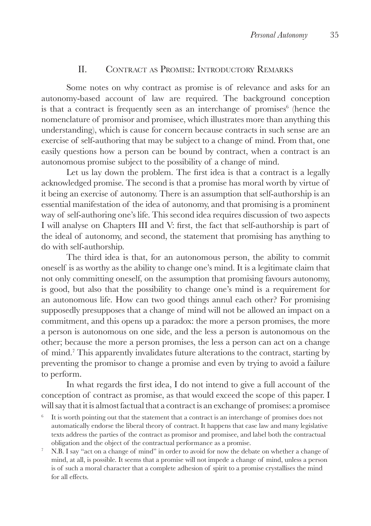## II. Contract as Promise: Introductory Remarks

Some notes on why contract as promise is of relevance and asks for an autonomy-based account of law are required. The background conception is that a contract is frequently seen as an interchange of promises $6$  (hence the nomenclature of promisor and promisee, which illustrates more than anything this understanding), which is cause for concern because contracts in such sense are an exercise of self-authoring that may be subject to a change of mind. From that, one easily questions how a person can be bound by contract, when a contract is an autonomous promise subject to the possibility of a change of mind.

Let us lay down the problem. The first idea is that a contract is a legally acknowledged promise. The second is that a promise has moral worth by virtue of it being an exercise of autonomy. There is an assumption that self-authorship is an essential manifestation of the idea of autonomy, and that promising is a prominent way of self-authoring one's life. This second idea requires discussion of two aspects I will analyse on Chapters III and V: first, the fact that self-authorship is part of the ideal of autonomy, and second, the statement that promising has anything to do with self-authorship.

The third idea is that, for an autonomous person, the ability to commit oneself is as worthy as the ability to change one's mind. It is a legitimate claim that not only committing oneself, on the assumption that promising favours autonomy, is good, but also that the possibility to change one's mind is a requirement for an autonomous life. How can two good things annul each other? For promising supposedly presupposes that a change of mind will not be allowed an impact on a commitment, and this opens up a paradox: the more a person promises, the more a person is autonomous on one side, and the less a person is autonomous on the other; because the more a person promises, the less a person can act on a change of mind.7 This apparently invalidates future alterations to the contract, starting by preventing the promisor to change a promise and even by trying to avoid a failure to perform.

In what regards the first idea, I do not intend to give a full account of the conception of contract as promise, as that would exceed the scope of this paper. I will say that it is almost factual that a contract is an exchange of promises: a promisee

- $6$  It is worth pointing out that the statement that a contract is an interchange of promises does not automatically endorse the liberal theory of contract. It happens that case law and many legislative texts address the parties of the contract as promisor and promisee, and label both the contractual obligation and the object of the contractual performance as a promise.
- <sup>7</sup> N.B. I say "act on a change of mind" in order to avoid for now the debate on whether a change of mind, at all, is possible. It seems that a promise will not impede a change of mind, unless a person is of such a moral character that a complete adhesion of spirit to a promise crystallises the mind for all effects.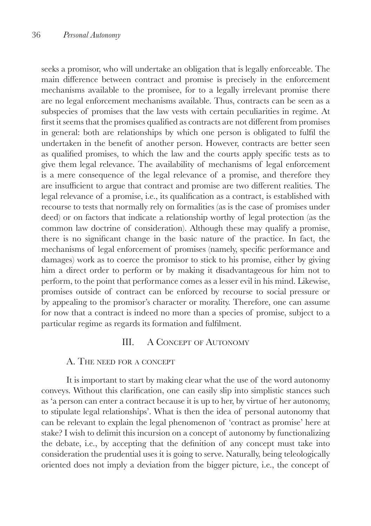seeks a promisor, who will undertake an obligation that is legally enforceable. The main difference between contract and promise is precisely in the enforcement mechanisms available to the promisee, for to a legally irrelevant promise there are no legal enforcement mechanisms available. Thus, contracts can be seen as a subspecies of promises that the law vests with certain peculiarities in regime. At first it seems that the promises qualified as contracts are not different from promises in general: both are relationships by which one person is obligated to fulfil the undertaken in the benefit of another person. However, contracts are better seen as qualified promises, to which the law and the courts apply specific tests as to give them legal relevance. The availability of mechanisms of legal enforcement is a mere consequence of the legal relevance of a promise, and therefore they are insufficient to argue that contract and promise are two different realities. The legal relevance of a promise, i.e., its qualification as a contract, is established with recourse to tests that normally rely on formalities (as is the case of promises under deed) or on factors that indicate a relationship worthy of legal protection (as the common law doctrine of consideration). Although these may qualify a promise, there is no significant change in the basic nature of the practice. In fact, the mechanisms of legal enforcement of promises (namely, specific performance and damages) work as to coerce the promisor to stick to his promise, either by giving him a direct order to perform or by making it disadvantageous for him not to perform, to the point that performance comes as a lesser evil in his mind. Likewise, promises outside of contract can be enforced by recourse to social pressure or by appealing to the promisor's character or morality. Therefore, one can assume for now that a contract is indeed no more than a species of promise, subject to a particular regime as regards its formation and fulfilment.

#### III. A Concept of Autonomy

#### A. The need for <sup>a</sup> concept

It is important to start by making clear what the use of the word autonomy conveys. Without this clarification, one can easily slip into simplistic stances such as 'a person can enter a contract because it is up to her, by virtue of her autonomy, to stipulate legal relationships'. What is then the idea of personal autonomy that can be relevant to explain the legal phenomenon of 'contract as promise' here at stake? I wish to delimit this incursion on a concept of autonomy by functionalizing the debate, i.e., by accepting that the definition of any concept must take into consideration the prudential uses it is going to serve. Naturally, being teleologically oriented does not imply a deviation from the bigger picture, i.e., the concept of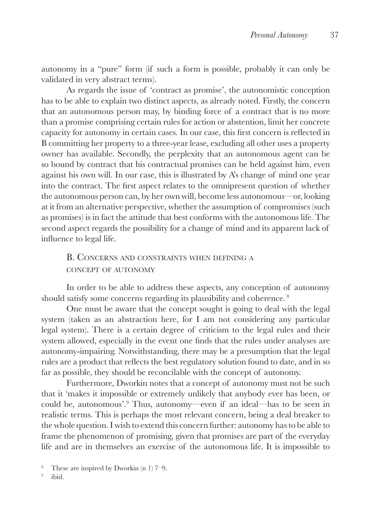autonomy in a "pure" form (if such a form is possible, probably it can only be validated in very abstract terms).

As regards the issue of 'contract as promise', the autonomistic conception has to be able to explain two distinct aspects, as already noted. Firstly, the concern that an autonomous person may, by binding force of a contract that is no more than a promise comprising certain rules for action or abstention, limit her concrete capacity for autonomy in certain cases. In our case, this first concern is reflected in B committing her property to a three-year lease, excluding all other uses a property owner has available. Secondly, the perplexity that an autonomous agent can be so bound by contract that his contractual promises can be held against him, even against his own will. In our case, this is illustrated by A's change of mind one year into the contract. The first aspect relates to the omnipresent question of whether the autonomous person can, by her own will, become less autonomous—or, looking at it from an alternative perspective, whether the assumption of compromises (such as promises) is in fact the attitude that best conforms with the autonomous life. The second aspect regards the possibility for a change of mind and its apparent lack of influence to legal life.

## B. Concerns and constraints when defining <sup>a</sup> concept of autonomy

In order to be able to address these aspects, any conception of autonomy should satisfy some concerns regarding its plausibility and coherence.<sup>8</sup>

One must be aware that the concept sought is going to deal with the legal system (taken as an abstraction here, for I am not considering any particular legal system). There is a certain degree of criticism to the legal rules and their system allowed, especially in the event one finds that the rules under analyses are autonomy-impairing. Notwithstanding, there may be a presumption that the legal rules are a product that reflects the best regulatory solution found to date, and in so far as possible, they should be reconcilable with the concept of autonomy.

Furthermore, Dworkin notes that a concept of autonomy must not be such that it 'makes it impossible or extremely unlikely that anybody ever has been, or could be, autonomous'.9 Thus, autonomy—even if an ideal—has to be seen in realistic terms. This is perhaps the most relevant concern, being a deal breaker to the whole question. I wish to extend this concern further: autonomy has to be able to frame the phenomenon of promising, given that promises are part of the everyday life and are in themselves an exercise of the autonomous life. It is impossible to

<sup>&</sup>lt;sup>8</sup> These are inspired by Dworkin  $(n 1)$  7–9.

<sup>9</sup> ibid.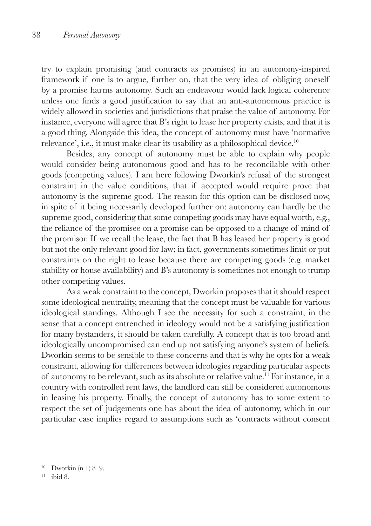try to explain promising (and contracts as promises) in an autonomy-inspired framework if one is to argue, further on, that the very idea of obliging oneself by a promise harms autonomy. Such an endeavour would lack logical coherence unless one finds a good justification to say that an anti-autonomous practice is widely allowed in societies and jurisdictions that praise the value of autonomy. For instance, everyone will agree that B's right to lease her property exists, and that it is a good thing. Alongside this idea, the concept of autonomy must have 'normative relevance', i.e., it must make clear its usability as a philosophical device.<sup>10</sup>

Besides, any concept of autonomy must be able to explain why people would consider being autonomous good and has to be reconcilable with other goods (competing values). I am here following Dworkin's refusal of the strongest constraint in the value conditions, that if accepted would require prove that autonomy is the supreme good. The reason for this option can be disclosed now, in spite of it being necessarily developed further on: autonomy can hardly be the supreme good, considering that some competing goods may have equal worth, e.g., the reliance of the promisee on a promise can be opposed to a change of mind of the promisor. If we recall the lease, the fact that B has leased her property is good but not the only relevant good for law; in fact, governments sometimes limit or put constraints on the right to lease because there are competing goods (e.g. market stability or house availability) and B's autonomy is sometimes not enough to trump other competing values.

As a weak constraint to the concept, Dworkin proposes that it should respect some ideological neutrality, meaning that the concept must be valuable for various ideological standings. Although I see the necessity for such a constraint, in the sense that a concept entrenched in ideology would not be a satisfying justification for many bystanders, it should be taken carefully. A concept that is too broad and ideologically uncompromised can end up not satisfying anyone's system of beliefs. Dworkin seems to be sensible to these concerns and that is why he opts for a weak constraint, allowing for differences between ideologies regarding particular aspects of autonomy to be relevant, such as its absolute or relative value.11 For instance, in a country with controlled rent laws, the landlord can still be considered autonomous in leasing his property. Finally, the concept of autonomy has to some extent to respect the set of judgements one has about the idea of autonomy, which in our particular case implies regard to assumptions such as 'contracts without consent

 $10$  Dworkin (n 1) 8–9.

<sup>11</sup> ibid 8.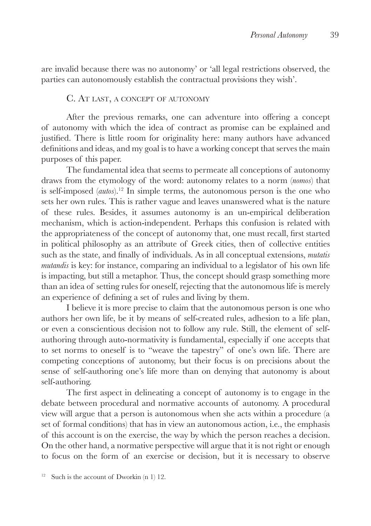are invalid because there was no autonomy' or 'all legal restrictions observed, the parties can autonomously establish the contractual provisions they wish'.

#### C. At last, a concept of autonomy

After the previous remarks, one can adventure into offering a concept of autonomy with which the idea of contract as promise can be explained and justified. There is little room for originality here: many authors have advanced definitions and ideas, and my goal is to have a working concept that serves the main purposes of this paper.

The fundamental idea that seems to permeate all conceptions of autonomy draws from the etymology of the word: autonomy relates to a norm (*nomos*) that is self-imposed (*autos*).12 In simple terms, the autonomous person is the one who sets her own rules. This is rather vague and leaves unanswered what is the nature of these rules. Besides, it assumes autonomy is an un-empirical deliberation mechanism, which is action-independent. Perhaps this confusion is related with the appropriateness of the concept of autonomy that, one must recall, first started in political philosophy as an attribute of Greek cities, then of collective entities such as the state, and finally of individuals. As in all conceptual extensions, *mutatis mutandis* is key: for instance, comparing an individual to a legislator of his own life is impacting, but still a metaphor. Thus, the concept should grasp something more than an idea of setting rules for oneself, rejecting that the autonomous life is merely an experience of defining a set of rules and living by them.

I believe it is more precise to claim that the autonomous person is one who authors her own life, be it by means of self-created rules, adhesion to a life plan, or even a conscientious decision not to follow any rule. Still, the element of selfauthoring through auto-normativity is fundamental, especially if one accepts that to set norms to oneself is to "weave the tapestry" of one's own life. There are competing conceptions of autonomy, but their focus is on precisions about the sense of self-authoring one's life more than on denying that autonomy is about self-authoring.

The first aspect in delineating a concept of autonomy is to engage in the debate between procedural and normative accounts of autonomy. A procedural view will argue that a person is autonomous when she acts within a procedure (a set of formal conditions) that has in view an autonomous action, i.e., the emphasis of this account is on the exercise, the way by which the person reaches a decision. On the other hand, a normative perspective will argue that it is not right or enough to focus on the form of an exercise or decision, but it is necessary to observe

<sup>&</sup>lt;sup>12</sup> Such is the account of Dworkin  $(n 1)$  12.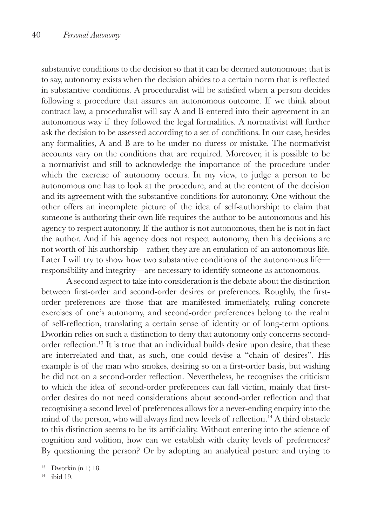substantive conditions to the decision so that it can be deemed autonomous; that is to say, autonomy exists when the decision abides to a certain norm that is reflected in substantive conditions. A proceduralist will be satisfied when a person decides following a procedure that assures an autonomous outcome. If we think about contract law, a proceduralist will say A and B entered into their agreement in an autonomous way if they followed the legal formalities. A normativist will further ask the decision to be assessed according to a set of conditions. In our case, besides any formalities, A and B are to be under no duress or mistake. The normativist accounts vary on the conditions that are required. Moreover, it is possible to be a normativist and still to acknowledge the importance of the procedure under which the exercise of autonomy occurs. In my view, to judge a person to be autonomous one has to look at the procedure, and at the content of the decision and its agreement with the substantive conditions for autonomy. One without the other offers an incomplete picture of the idea of self-authorship: to claim that someone is authoring their own life requires the author to be autonomous and his agency to respect autonomy. If the author is not autonomous, then he is not in fact the author. And if his agency does not respect autonomy, then his decisions are not worth of his authorship—rather, they are an emulation of an autonomous life. Later I will try to show how two substantive conditions of the autonomous life responsibility and integrity—are necessary to identify someone as autonomous.

A second aspect to take into consideration is the debate about the distinction between first-order and second-order desires or preferences. Roughly, the firstorder preferences are those that are manifested immediately, ruling concrete exercises of one's autonomy, and second-order preferences belong to the realm of self-reflection, translating a certain sense of identity or of long-term options. Dworkin relies on such a distinction to deny that autonomy only concerns secondorder reflection.13 It is true that an individual builds desire upon desire, that these are interrelated and that, as such, one could devise a "chain of desires". His example is of the man who smokes, desiring so on a first-order basis, but wishing he did not on a second-order reflection. Nevertheless, he recognises the criticism to which the idea of second-order preferences can fall victim, mainly that firstorder desires do not need considerations about second-order reflection and that recognising a second level of preferences allows for a never-ending enquiry into the mind of the person, who will always find new levels of reflection.<sup>14</sup> A third obstacle to this distinction seems to be its artificiality. Without entering into the science of cognition and volition, how can we establish with clarity levels of preferences? By questioning the person? Or by adopting an analytical posture and trying to

<sup>14</sup> ibid 19.

 $13$  Dworkin (n 1) 18.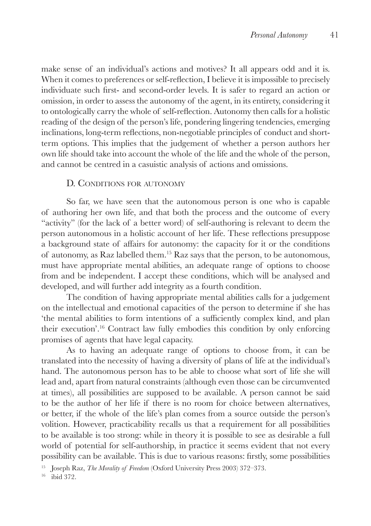make sense of an individual's actions and motives? It all appears odd and it is. When it comes to preferences or self-reflection, I believe it is impossible to precisely individuate such first- and second-order levels. It is safer to regard an action or omission, in order to assess the autonomy of the agent, in its entirety, considering it to ontologically carry the whole of self-reflection. Autonomy then calls for a holistic reading of the design of the person's life, pondering lingering tendencies, emerging inclinations, long-term reflections, non-negotiable principles of conduct and shortterm options. This implies that the judgement of whether a person authors her own life should take into account the whole of the life and the whole of the person, and cannot be centred in a casuistic analysis of actions and omissions.

## D. CONDITIONS FOR AUTONOMY

So far, we have seen that the autonomous person is one who is capable of authoring her own life, and that both the process and the outcome of every "activity" (for the lack of a better word) of self-authoring is relevant to deem the person autonomous in a holistic account of her life. These reflections presuppose a background state of affairs for autonomy: the capacity for it or the conditions of autonomy, as Raz labelled them.15 Raz says that the person, to be autonomous, must have appropriate mental abilities, an adequate range of options to choose from and be independent. I accept these conditions, which will be analysed and developed, and will further add integrity as a fourth condition.

The condition of having appropriate mental abilities calls for a judgement on the intellectual and emotional capacities of the person to determine if she has 'the mental abilities to form intentions of a sufficiently complex kind, and plan their execution'.16 Contract law fully embodies this condition by only enforcing promises of agents that have legal capacity.

As to having an adequate range of options to choose from, it can be translated into the necessity of having a diversity of plans of life at the individual's hand. The autonomous person has to be able to choose what sort of life she will lead and, apart from natural constraints (although even those can be circumvented at times), all possibilities are supposed to be available. A person cannot be said to be the author of her life if there is no room for choice between alternatives, or better, if the whole of the life's plan comes from a source outside the person's volition. However, practicability recalls us that a requirement for all possibilities to be available is too strong: while in theory it is possible to see as desirable a full world of potential for self-authorship, in practice it seems evident that not every possibility can be available. This is due to various reasons: firstly, some possibilities

<sup>15</sup> Joseph Raz, *The Morality of Freedom* (Oxford University Press 2003) 372-373.

<sup>16</sup> ibid 372.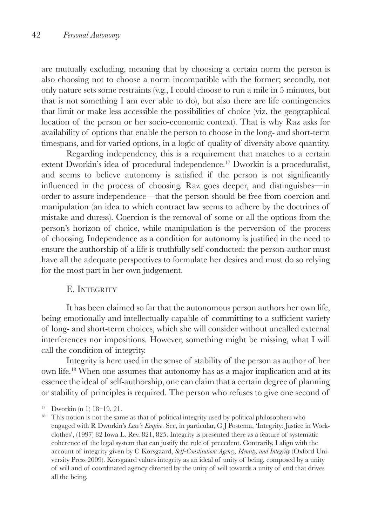are mutually excluding, meaning that by choosing a certain norm the person is also choosing not to choose a norm incompatible with the former; secondly, not only nature sets some restraints (v.g., I could choose to run a mile in 5 minutes, but that is not something I am ever able to do), but also there are life contingencies that limit or make less accessible the possibilities of choice (viz. the geographical location of the person or her socio-economic context). That is why Raz asks for availability of options that enable the person to choose in the long- and short-term timespans, and for varied options, in a logic of quality of diversity above quantity.

Regarding independency, this is a requirement that matches to a certain extent Dworkin's idea of procedural independence.<sup>17</sup> Dworkin is a proceduralist, and seems to believe autonomy is satisfied if the person is not significantly influenced in the process of choosing. Raz goes deeper, and distinguishes—in order to assure independence—that the person should be free from coercion and manipulation (an idea to which contract law seems to adhere by the doctrines of mistake and duress). Coercion is the removal of some or all the options from the person's horizon of choice, while manipulation is the perversion of the process of choosing. Independence as a condition for autonomy is justified in the need to ensure the authorship of a life is truthfully self-conducted: the person-author must have all the adequate perspectives to formulate her desires and must do so relying for the most part in her own judgement.

## E. INTEGRITY

It has been claimed so far that the autonomous person authors her own life, being emotionally and intellectually capable of committing to a sufficient variety of long- and short-term choices, which she will consider without uncalled external interferences nor impositions. However, something might be missing, what I will call the condition of integrity.

Integrity is here used in the sense of stability of the person as author of her own life.18 When one assumes that autonomy has as a major implication and at its essence the ideal of self-authorship, one can claim that a certain degree of planning or stability of principles is required. The person who refuses to give one second of

<sup>17</sup> Dworkin (n 1) 18–19, 21.

<sup>&</sup>lt;sup>18</sup> This notion is not the same as that of political integrity used by political philosophers who engaged with R Dworkin's *Law's Empire*. See, in particular, G J Postema, 'Integrity: Justice in Workclothes', (1997) 82 Iowa L. Rev. 821, 825. Integrity is presented there as a feature of systematic coherence of the legal system that can justify the rule of precedent. Contrarily, I align with the account of integrity given by C Korsgaard, *Self-Constitution: Agency, Identity, and Integrity* (Oxford University Press 2009). Korsgaard values integrity as an ideal of unity of being, composed by a unity of will and of coordinated agency directed by the unity of will towards a unity of end that drives all the being.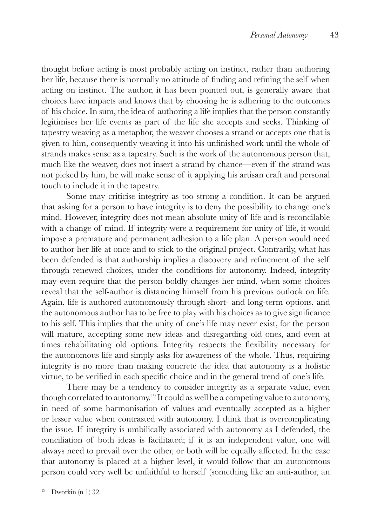thought before acting is most probably acting on instinct, rather than authoring her life, because there is normally no attitude of finding and refining the self when acting on instinct. The author, it has been pointed out, is generally aware that choices have impacts and knows that by choosing he is adhering to the outcomes of his choice. In sum, the idea of authoring a life implies that the person constantly legitimises her life events as part of the life she accepts and seeks. Thinking of tapestry weaving as a metaphor, the weaver chooses a strand or accepts one that is given to him, consequently weaving it into his unfinished work until the whole of strands makes sense as a tapestry. Such is the work of the autonomous person that, much like the weaver, does not insert a strand by chance—even if the strand was not picked by him, he will make sense of it applying his artisan craft and personal touch to include it in the tapestry.

Some may criticise integrity as too strong a condition. It can be argued that asking for a person to have integrity is to deny the possibility to change one's mind. However, integrity does not mean absolute unity of life and is reconcilable with a change of mind. If integrity were a requirement for unity of life, it would impose a premature and permanent adhesion to a life plan. A person would need to author her life at once and to stick to the original project. Contrarily, what has been defended is that authorship implies a discovery and refinement of the self through renewed choices, under the conditions for autonomy. Indeed, integrity may even require that the person boldly changes her mind, when some choices reveal that the self-author is distancing himself from his previous outlook on life. Again, life is authored autonomously through short- and long-term options, and the autonomous author has to be free to play with his choices as to give significance to his self. This implies that the unity of one's life may never exist, for the person will mature, accepting some new ideas and disregarding old ones, and even at times rehabilitating old options. Integrity respects the flexibility necessary for the autonomous life and simply asks for awareness of the whole. Thus, requiring integrity is no more than making concrete the idea that autonomy is a holistic virtue, to be verified in each specific choice and in the general trend of one's life.

There may be a tendency to consider integrity as a separate value, even though correlated to autonomy.19 It could as well be a competing value to autonomy, in need of some harmonisation of values and eventually accepted as a higher or lesser value when contrasted with autonomy. I think that is overcomplicating the issue. If integrity is umbilically associated with autonomy as I defended, the conciliation of both ideas is facilitated; if it is an independent value, one will always need to prevail over the other, or both will be equally affected. In the case that autonomy is placed at a higher level, it would follow that an autonomous person could very well be unfaithful to herself (something like an anti-author, an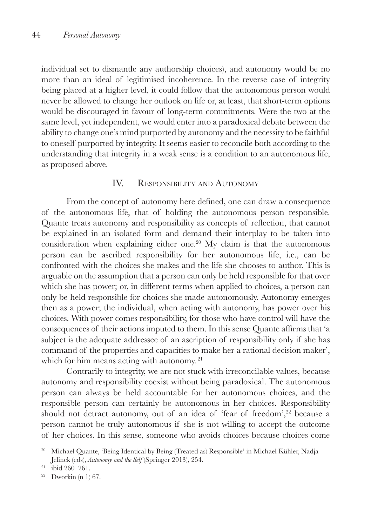individual set to dismantle any authorship choices), and autonomy would be no more than an ideal of legitimised incoherence. In the reverse case of integrity being placed at a higher level, it could follow that the autonomous person would never be allowed to change her outlook on life or, at least, that short-term options would be discouraged in favour of long-term commitments. Were the two at the same level, yet independent, we would enter into a paradoxical debate between the ability to change one's mind purported by autonomy and the necessity to be faithful to oneself purported by integrity. It seems easier to reconcile both according to the understanding that integrity in a weak sense is a condition to an autonomous life, as proposed above.

## IV. Responsibility and Autonomy

From the concept of autonomy here defined, one can draw a consequence of the autonomous life, that of holding the autonomous person responsible. Quante treats autonomy and responsibility as concepts of reflection, that cannot be explained in an isolated form and demand their interplay to be taken into consideration when explaining either one.<sup>20</sup> My claim is that the autonomous person can be ascribed responsibility for her autonomous life, i.e., can be confronted with the choices she makes and the life she chooses to author. This is arguable on the assumption that a person can only be held responsible for that over which she has power; or, in different terms when applied to choices, a person can only be held responsible for choices she made autonomously. Autonomy emerges then as a power; the individual, when acting with autonomy, has power over his choices. With power comes responsibility, for those who have control will have the consequences of their actions imputed to them. In this sense Quante affirms that 'a subject is the adequate addressee of an ascription of responsibility only if she has command of the properties and capacities to make her a rational decision maker', which for him means acting with autonomy.<sup>21</sup>

Contrarily to integrity, we are not stuck with irreconcilable values, because autonomy and responsibility coexist without being paradoxical. The autonomous person can always be held accountable for her autonomous choices, and the responsible person can certainly be autonomous in her choices. Responsibility should not detract autonomy, out of an idea of 'fear of freedom', $22$  because a person cannot be truly autonomous if she is not willing to accept the outcome of her choices. In this sense, someone who avoids choices because choices come

<sup>20</sup> Michael Quante, 'Being Identical by Being (Treated as) Responsible' in Michael Kühler, Nadja Jelinek (eds), *Autonomy and the Self* (Springer 2013), 254.

 $21$  ibid 260-261.

<sup>&</sup>lt;sup>22</sup> Dworkin (n 1) 67.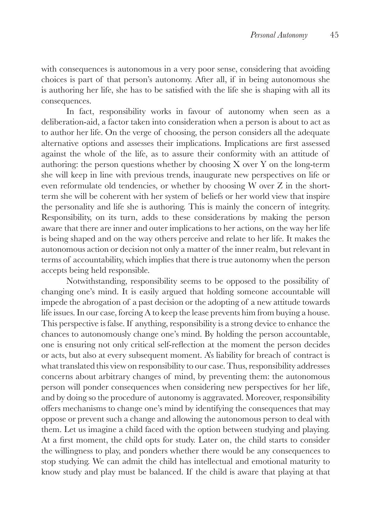with consequences is autonomous in a very poor sense, considering that avoiding choices is part of that person's autonomy. After all, if in being autonomous she is authoring her life, she has to be satisfied with the life she is shaping with all its consequences.

In fact, responsibility works in favour of autonomy when seen as a deliberation-aid, a factor taken into consideration when a person is about to act as to author her life. On the verge of choosing, the person considers all the adequate alternative options and assesses their implications. Implications are first assessed against the whole of the life, as to assure their conformity with an attitude of authoring: the person questions whether by choosing X over Y on the long-term she will keep in line with previous trends, inaugurate new perspectives on life or even reformulate old tendencies, or whether by choosing W over Z in the shortterm she will be coherent with her system of beliefs or her world view that inspire the personality and life she is authoring. This is mainly the concern of integrity. Responsibility, on its turn, adds to these considerations by making the person aware that there are inner and outer implications to her actions, on the way her life is being shaped and on the way others perceive and relate to her life. It makes the autonomous action or decision not only a matter of the inner realm, but relevant in terms of accountability, which implies that there is true autonomy when the person accepts being held responsible.

Notwithstanding, responsibility seems to be opposed to the possibility of changing one's mind. It is easily argued that holding someone accountable will impede the abrogation of a past decision or the adopting of a new attitude towards life issues. In our case, forcing A to keep the lease prevents him from buying a house. This perspective is false. If anything, responsibility is a strong device to enhance the chances to autonomously change one's mind. By holding the person accountable, one is ensuring not only critical self-reflection at the moment the person decides or acts, but also at every subsequent moment. A's liability for breach of contract is what translated this view on responsibility to our case. Thus, responsibility addresses concerns about arbitrary changes of mind, by preventing them: the autonomous person will ponder consequences when considering new perspectives for her life, and by doing so the procedure of autonomy is aggravated. Moreover, responsibility offers mechanisms to change one's mind by identifying the consequences that may oppose or prevent such a change and allowing the autonomous person to deal with them. Let us imagine a child faced with the option between studying and playing. At a first moment, the child opts for study. Later on, the child starts to consider the willingness to play, and ponders whether there would be any consequences to stop studying. We can admit the child has intellectual and emotional maturity to know study and play must be balanced. If the child is aware that playing at that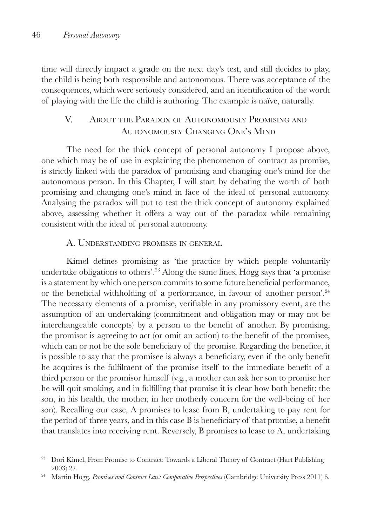time will directly impact a grade on the next day's test, and still decides to play, the child is being both responsible and autonomous. There was acceptance of the consequences, which were seriously considered, and an identification of the worth of playing with the life the child is authoring. The example is naïve, naturally.

## V. About the Paradox of Autonomously Promising and Autonomously Changing One's Mind

The need for the thick concept of personal autonomy I propose above, one which may be of use in explaining the phenomenon of contract as promise, is strictly linked with the paradox of promising and changing one's mind for the autonomous person. In this Chapter, I will start by debating the worth of both promising and changing one's mind in face of the ideal of personal autonomy. Analysing the paradox will put to test the thick concept of autonomy explained above, assessing whether it offers a way out of the paradox while remaining consistent with the ideal of personal autonomy.

#### A. Understanding promises in general

Kimel defines promising as 'the practice by which people voluntarily undertake obligations to others'.23 Along the same lines, Hogg says that 'a promise is a statement by which one person commits to some future beneficial performance, or the beneficial withholding of a performance, in favour of another person'.<sup>24</sup> The necessary elements of a promise, verifiable in any promissory event, are the assumption of an undertaking (commitment and obligation may or may not be interchangeable concepts) by a person to the benefit of another. By promising, the promisor is agreeing to act (or omit an action) to the benefit of the promisee, which can or not be the sole beneficiary of the promise. Regarding the benefice, it is possible to say that the promisee is always a beneficiary, even if the only benefit he acquires is the fulfilment of the promise itself to the immediate benefit of a third person or the promisor himself (v.g., a mother can ask her son to promise her he will quit smoking, and in fulfilling that promise it is clear how both benefit: the son, in his health, the mother, in her motherly concern for the well-being of her son). Recalling our case, A promises to lease from B, undertaking to pay rent for the period of three years, and in this case B is beneficiary of that promise, a benefit that translates into receiving rent. Reversely, B promises to lease to A, undertaking

<sup>&</sup>lt;sup>23</sup> Dori Kimel, From Promise to Contract: Towards a Liberal Theory of Contract (Hart Publishing 2003) 27.

<sup>24</sup> Martin Hogg, *Promises and Contract Law: Comparative Perspectives* (Cambridge University Press 2011) 6.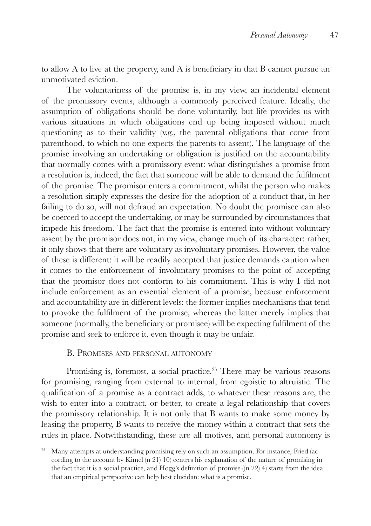to allow A to live at the property, and A is beneficiary in that B cannot pursue an unmotivated eviction.

The voluntariness of the promise is, in my view, an incidental element of the promissory events, although a commonly perceived feature. Ideally, the assumption of obligations should be done voluntarily, but life provides us with various situations in which obligations end up being imposed without much questioning as to their validity (v.g., the parental obligations that come from parenthood, to which no one expects the parents to assent). The language of the promise involving an undertaking or obligation is justified on the accountability that normally comes with a promissory event: what distinguishes a promise from a resolution is, indeed, the fact that someone will be able to demand the fulfilment of the promise. The promisor enters a commitment, whilst the person who makes a resolution simply expresses the desire for the adoption of a conduct that, in her failing to do so, will not defraud an expectation. No doubt the promisee can also be coerced to accept the undertaking, or may be surrounded by circumstances that impede his freedom. The fact that the promise is entered into without voluntary assent by the promisor does not, in my view, change much of its character: rather, it only shows that there are voluntary as involuntary promises. However, the value of these is different: it will be readily accepted that justice demands caution when it comes to the enforcement of involuntary promises to the point of accepting that the promisor does not conform to his commitment. This is why I did not include enforcement as an essential element of a promise, because enforcement and accountability are in different levels: the former implies mechanisms that tend to provoke the fulfilment of the promise, whereas the latter merely implies that someone (normally, the beneficiary or promisee) will be expecting fulfilment of the promise and seek to enforce it, even though it may be unfair.

#### B. Promises and personal autonomy

Promising is, foremost, a social practice.<sup>25</sup> There may be various reasons for promising, ranging from external to internal, from egoistic to altruistic. The qualification of a promise as a contract adds, to whatever these reasons are, the wish to enter into a contract, or better, to create a legal relationship that covers the promissory relationship. It is not only that B wants to make some money by leasing the property, B wants to receive the money within a contract that sets the rules in place. Notwithstanding, these are all motives, and personal autonomy is

 $25$  Many attempts at understanding promising rely on such an assumption. For instance, Fried (according to the account by Kimel (n 21) 10) centres his explanation of the nature of promising in the fact that it is a social practice, and Hogg's definition of promise ((n 22) 4) starts from the idea that an empirical perspective can help best elucidate what is a promise.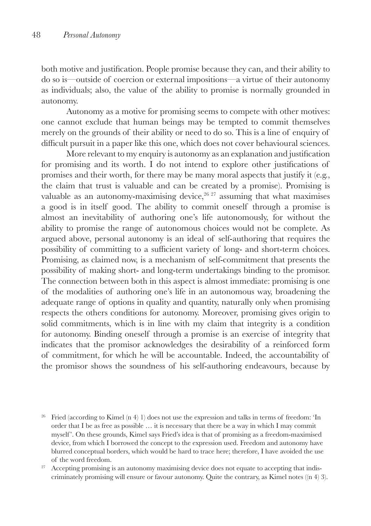both motive and justification. People promise because they can, and their ability to do so is—outside of coercion or external impositions—a virtue of their autonomy as individuals; also, the value of the ability to promise is normally grounded in autonomy.

Autonomy as a motive for promising seems to compete with other motives: one cannot exclude that human beings may be tempted to commit themselves merely on the grounds of their ability or need to do so. This is a line of enquiry of difficult pursuit in a paper like this one, which does not cover behavioural sciences.

More relevant to my enquiry is autonomy as an explanation and justification for promising and its worth. I do not intend to explore other justifications of promises and their worth, for there may be many moral aspects that justify it (e.g., the claim that trust is valuable and can be created by a promise). Promising is valuable as an autonomy-maximising device, $26\frac{27}{27}$  assuming that what maximises a good is in itself good. The ability to commit oneself through a promise is almost an inevitability of authoring one's life autonomously, for without the ability to promise the range of autonomous choices would not be complete. As argued above, personal autonomy is an ideal of self-authoring that requires the possibility of committing to a sufficient variety of long- and short-term choices. Promising, as claimed now, is a mechanism of self-commitment that presents the possibility of making short- and long-term undertakings binding to the promisor. The connection between both in this aspect is almost immediate: promising is one of the modalities of authoring one's life in an autonomous way, broadening the adequate range of options in quality and quantity, naturally only when promising respects the others conditions for autonomy. Moreover, promising gives origin to solid commitments, which is in line with my claim that integrity is a condition for autonomy. Binding oneself through a promise is an exercise of integrity that indicates that the promisor acknowledges the desirability of a reinforced form of commitment, for which he will be accountable. Indeed, the accountability of the promisor shows the soundness of his self-authoring endeavours, because by

<sup>&</sup>lt;sup>26</sup> Fried (according to Kimel (n 4) 1) does not use the expression and talks in terms of freedom: 'In order that I be as free as possible … it is necessary that there be a way in which I may commit myself '. On these grounds, Kimel says Fried's idea is that of promising as a freedom-maximised device, from which I borrowed the concept to the expression used. Freedom and autonomy have blurred conceptual borders, which would be hard to trace here; therefore, I have avoided the use of the word freedom.

 $27$  Accepting promising is an autonomy maximising device does not equate to accepting that indiscriminately promising will ensure or favour autonomy. Quite the contrary, as Kimel notes ((n 4) 3).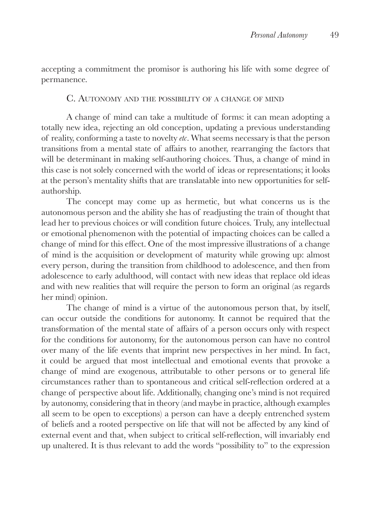accepting a commitment the promisor is authoring his life with some degree of permanence.

#### C. Autonomy and the possibility of <sup>a</sup> change of mind

A change of mind can take a multitude of forms: it can mean adopting a totally new idea, rejecting an old conception, updating a previous understanding of reality, conforming a taste to novelty *etc*. What seems necessary is that the person transitions from a mental state of affairs to another, rearranging the factors that will be determinant in making self-authoring choices. Thus, a change of mind in this case is not solely concerned with the world of ideas or representations; it looks at the person's mentality shifts that are translatable into new opportunities for selfauthorship.

The concept may come up as hermetic, but what concerns us is the autonomous person and the ability she has of readjusting the train of thought that lead her to previous choices or will condition future choices. Truly, any intellectual or emotional phenomenon with the potential of impacting choices can be called a change of mind for this effect. One of the most impressive illustrations of a change of mind is the acquisition or development of maturity while growing up: almost every person, during the transition from childhood to adolescence, and then from adolescence to early adulthood, will contact with new ideas that replace old ideas and with new realities that will require the person to form an original (as regards her mind) opinion.

The change of mind is a virtue of the autonomous person that, by itself, can occur outside the conditions for autonomy. It cannot be required that the transformation of the mental state of affairs of a person occurs only with respect for the conditions for autonomy, for the autonomous person can have no control over many of the life events that imprint new perspectives in her mind. In fact, it could be argued that most intellectual and emotional events that provoke a change of mind are exogenous, attributable to other persons or to general life circumstances rather than to spontaneous and critical self-reflection ordered at a change of perspective about life. Additionally, changing one's mind is not required by autonomy, considering that in theory (and maybe in practice, although examples all seem to be open to exceptions) a person can have a deeply entrenched system of beliefs and a rooted perspective on life that will not be affected by any kind of external event and that, when subject to critical self-reflection, will invariably end up unaltered. It is thus relevant to add the words "possibility to" to the expression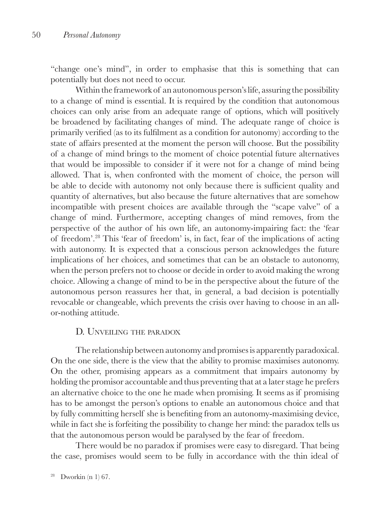"change one's mind", in order to emphasise that this is something that can potentially but does not need to occur.

Within the framework of an autonomous person's life, assuring the possibility to a change of mind is essential. It is required by the condition that autonomous choices can only arise from an adequate range of options, which will positively be broadened by facilitating changes of mind. The adequate range of choice is primarily verified (as to its fulfilment as a condition for autonomy) according to the state of affairs presented at the moment the person will choose. But the possibility of a change of mind brings to the moment of choice potential future alternatives that would be impossible to consider if it were not for a change of mind being allowed. That is, when confronted with the moment of choice, the person will be able to decide with autonomy not only because there is sufficient quality and quantity of alternatives, but also because the future alternatives that are somehow incompatible with present choices are available through the "scape valve" of a change of mind. Furthermore, accepting changes of mind removes, from the perspective of the author of his own life, an autonomy-impairing fact: the 'fear of freedom'.28 This 'fear of freedom' is, in fact, fear of the implications of acting with autonomy. It is expected that a conscious person acknowledges the future implications of her choices, and sometimes that can be an obstacle to autonomy, when the person prefers not to choose or decide in order to avoid making the wrong choice. Allowing a change of mind to be in the perspective about the future of the autonomous person reassures her that, in general, a bad decision is potentially revocable or changeable, which prevents the crisis over having to choose in an allor-nothing attitude.

#### D. UNVEILING THE PARADOX

The relationship between autonomy and promises is apparently paradoxical. On the one side, there is the view that the ability to promise maximises autonomy. On the other, promising appears as a commitment that impairs autonomy by holding the promisor accountable and thus preventing that at a later stage he prefers an alternative choice to the one he made when promising. It seems as if promising has to be amongst the person's options to enable an autonomous choice and that by fully committing herself she is benefiting from an autonomy-maximising device, while in fact she is forfeiting the possibility to change her mind: the paradox tells us that the autonomous person would be paralysed by the fear of freedom.

There would be no paradox if promises were easy to disregard. That being the case, promises would seem to be fully in accordance with the thin ideal of

 $28$  Dworkin (n 1) 67.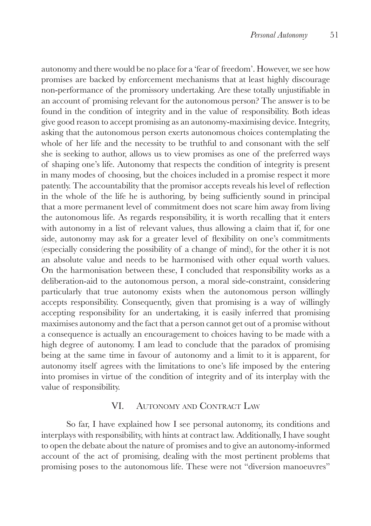autonomy and there would be no place for a 'fear of freedom'. However, we see how promises are backed by enforcement mechanisms that at least highly discourage non-performance of the promissory undertaking. Are these totally unjustifiable in an account of promising relevant for the autonomous person? The answer is to be found in the condition of integrity and in the value of responsibility. Both ideas give good reason to accept promising as an autonomy-maximising device. Integrity, asking that the autonomous person exerts autonomous choices contemplating the whole of her life and the necessity to be truthful to and consonant with the self she is seeking to author, allows us to view promises as one of the preferred ways of shaping one's life. Autonomy that respects the condition of integrity is present in many modes of choosing, but the choices included in a promise respect it more patently. The accountability that the promisor accepts reveals his level of reflection in the whole of the life he is authoring, by being sufficiently sound in principal that a more permanent level of commitment does not scare him away from living the autonomous life. As regards responsibility, it is worth recalling that it enters with autonomy in a list of relevant values, thus allowing a claim that if, for one side, autonomy may ask for a greater level of flexibility on one's commitments (especially considering the possibility of a change of mind), for the other it is not an absolute value and needs to be harmonised with other equal worth values. On the harmonisation between these, I concluded that responsibility works as a deliberation-aid to the autonomous person, a moral side-constraint, considering particularly that true autonomy exists when the autonomous person willingly accepts responsibility. Consequently, given that promising is a way of willingly accepting responsibility for an undertaking, it is easily inferred that promising maximises autonomy and the fact that a person cannot get out of a promise without a consequence is actually an encouragement to choices having to be made with a high degree of autonomy. I am lead to conclude that the paradox of promising being at the same time in favour of autonomy and a limit to it is apparent, for autonomy itself agrees with the limitations to one's life imposed by the entering into promises in virtue of the condition of integrity and of its interplay with the value of responsibility.

#### VI. AUTONOMY AND CONTRACT LAW

So far, I have explained how I see personal autonomy, its conditions and interplays with responsibility, with hints at contract law. Additionally, I have sought to open the debate about the nature of promises and to give an autonomy-informed account of the act of promising, dealing with the most pertinent problems that promising poses to the autonomous life. These were not "diversion manoeuvres"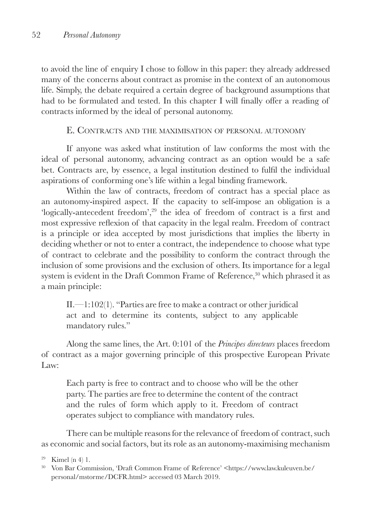to avoid the line of enquiry I chose to follow in this paper: they already addressed many of the concerns about contract as promise in the context of an autonomous life. Simply, the debate required a certain degree of background assumptions that had to be formulated and tested. In this chapter I will finally offer a reading of contracts informed by the ideal of personal autonomy.

## E. Contracts and the maximisation of personal autonomy

If anyone was asked what institution of law conforms the most with the ideal of personal autonomy, advancing contract as an option would be a safe bet. Contracts are, by essence, a legal institution destined to fulfil the individual aspirations of conforming one's life within a legal binding framework.

Within the law of contracts, freedom of contract has a special place as an autonomy-inspired aspect. If the capacity to self-impose an obligation is a 'logically-antecedent freedom',<sup>29</sup> the idea of freedom of contract is a first and most expressive reflexion of that capacity in the legal realm. Freedom of contract is a principle or idea accepted by most jurisdictions that implies the liberty in deciding whether or not to enter a contract, the independence to choose what type of contract to celebrate and the possibility to conform the contract through the inclusion of some provisions and the exclusion of others. Its importance for a legal system is evident in the Draft Common Frame of Reference,<sup>30</sup> which phrased it as a main principle:

II.—1:102(1). "Parties are free to make a contract or other juridical act and to determine its contents, subject to any applicable mandatory rules."

Along the same lines, the Art. 0:101 of the *Principes directeurs* places freedom of contract as a major governing principle of this prospective European Private Law:

Each party is free to contract and to choose who will be the other party. The parties are free to determine the content of the contract and the rules of form which apply to it. Freedom of contract operates subject to compliance with mandatory rules.

There can be multiple reasons for the relevance of freedom of contract, such as economic and social factors, but its role as an autonomy-maximising mechanism

<sup>29</sup> Kimel (n 4) 1.

<sup>&</sup>lt;sup>30</sup> Von Bar Commission, 'Draft Common Frame of Reference' <https://www.law.kuleuven.be/ personal/mstorme/DCFR.html> accessed 03 March 2019.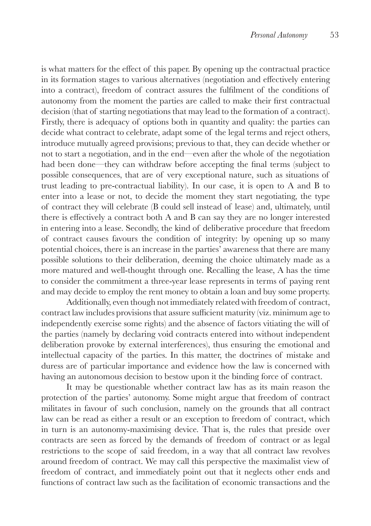is what matters for the effect of this paper. By opening up the contractual practice in its formation stages to various alternatives (negotiation and effectively entering into a contract), freedom of contract assures the fulfilment of the conditions of autonomy from the moment the parties are called to make their first contractual decision (that of starting negotiations that may lead to the formation of a contract). Firstly, there is adequacy of options both in quantity and quality: the parties can decide what contract to celebrate, adapt some of the legal terms and reject others, introduce mutually agreed provisions; previous to that, they can decide whether or not to start a negotiation, and in the end—even after the whole of the negotiation had been done—they can withdraw before accepting the final terms (subject to possible consequences, that are of very exceptional nature, such as situations of trust leading to pre-contractual liability). In our case, it is open to A and B to enter into a lease or not, to decide the moment they start negotiating, the type of contract they will celebrate (B could sell instead of lease) and, ultimately, until there is effectively a contract both A and B can say they are no longer interested in entering into a lease. Secondly, the kind of deliberative procedure that freedom of contract causes favours the condition of integrity: by opening up so many potential choices, there is an increase in the parties' awareness that there are many possible solutions to their deliberation, deeming the choice ultimately made as a more matured and well-thought through one. Recalling the lease, A has the time to consider the commitment a three-year lease represents in terms of paying rent and may decide to employ the rent money to obtain a loan and buy some property.

Additionally, even though not immediately related with freedom of contract, contract law includes provisions that assure sufficient maturity (viz. minimum age to independently exercise some rights) and the absence of factors vitiating the will of the parties (namely by declaring void contracts entered into without independent deliberation provoke by external interferences), thus ensuring the emotional and intellectual capacity of the parties. In this matter, the doctrines of mistake and duress are of particular importance and evidence how the law is concerned with having an autonomous decision to bestow upon it the binding force of contract.

It may be questionable whether contract law has as its main reason the protection of the parties' autonomy. Some might argue that freedom of contract militates in favour of such conclusion, namely on the grounds that all contract law can be read as either a result or an exception to freedom of contract, which in turn is an autonomy-maximising device. That is, the rules that preside over contracts are seen as forced by the demands of freedom of contract or as legal restrictions to the scope of said freedom, in a way that all contract law revolves around freedom of contract. We may call this perspective the maximalist view of freedom of contract, and immediately point out that it neglects other ends and functions of contract law such as the facilitation of economic transactions and the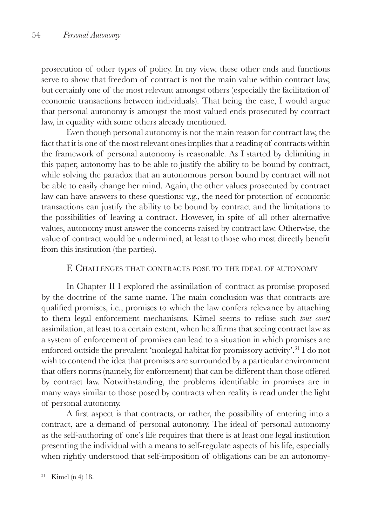prosecution of other types of policy. In my view, these other ends and functions serve to show that freedom of contract is not the main value within contract law, but certainly one of the most relevant amongst others (especially the facilitation of economic transactions between individuals). That being the case, I would argue that personal autonomy is amongst the most valued ends prosecuted by contract law, in equality with some others already mentioned.

Even though personal autonomy is not the main reason for contract law, the fact that it is one of the most relevant ones implies that a reading of contracts within the framework of personal autonomy is reasonable. As I started by delimiting in this paper, autonomy has to be able to justify the ability to be bound by contract, while solving the paradox that an autonomous person bound by contract will not be able to easily change her mind. Again, the other values prosecuted by contract law can have answers to these questions: v.g., the need for protection of economic transactions can justify the ability to be bound by contract and the limitations to the possibilities of leaving a contract. However, in spite of all other alternative values, autonomy must answer the concerns raised by contract law. Otherwise, the value of contract would be undermined, at least to those who most directly benefit from this institution (the parties).

## F. Challenges that contracts pose to the ideal of autonomy

In Chapter II I explored the assimilation of contract as promise proposed by the doctrine of the same name. The main conclusion was that contracts are qualified promises, i.e., promises to which the law confers relevance by attaching to them legal enforcement mechanisms. Kimel seems to refuse such *tout court*  assimilation, at least to a certain extent, when he affirms that seeing contract law as a system of enforcement of promises can lead to a situation in which promises are enforced outside the prevalent 'nonlegal habitat for promissory activity'.31 I do not wish to contend the idea that promises are surrounded by a particular environment that offers norms (namely, for enforcement) that can be different than those offered by contract law. Notwithstanding, the problems identifiable in promises are in many ways similar to those posed by contracts when reality is read under the light of personal autonomy.

A first aspect is that contracts, or rather, the possibility of entering into a contract, are a demand of personal autonomy. The ideal of personal autonomy as the self-authoring of one's life requires that there is at least one legal institution presenting the individual with a means to self-regulate aspects of his life, especially when rightly understood that self-imposition of obligations can be an autonomy-

 $31$  Kimel (n 4) 18.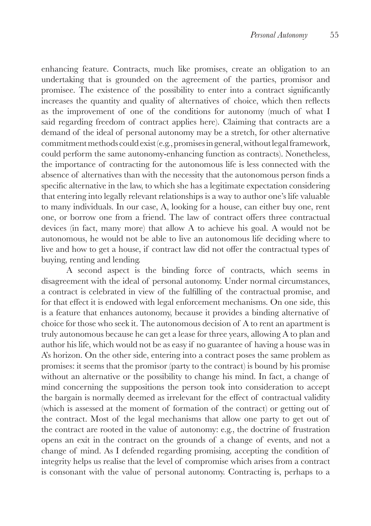enhancing feature. Contracts, much like promises, create an obligation to an undertaking that is grounded on the agreement of the parties, promisor and promisee. The existence of the possibility to enter into a contract significantly increases the quantity and quality of alternatives of choice, which then reflects as the improvement of one of the conditions for autonomy (much of what I said regarding freedom of contract applies here). Claiming that contracts are a demand of the ideal of personal autonomy may be a stretch, for other alternative commitment methods could exist (e.g., promises in general, without legal framework, could perform the same autonomy-enhancing function as contracts). Nonetheless, the importance of contracting for the autonomous life is less connected with the absence of alternatives than with the necessity that the autonomous person finds a specific alternative in the law, to which she has a legitimate expectation considering that entering into legally relevant relationships is a way to author one's life valuable to many individuals. In our case, A, looking for a house, can either buy one, rent one, or borrow one from a friend. The law of contract offers three contractual devices (in fact, many more) that allow A to achieve his goal. A would not be autonomous, he would not be able to live an autonomous life deciding where to live and how to get a house, if contract law did not offer the contractual types of buying, renting and lending.

A second aspect is the binding force of contracts, which seems in disagreement with the ideal of personal autonomy. Under normal circumstances, a contract is celebrated in view of the fulfilling of the contractual promise, and for that effect it is endowed with legal enforcement mechanisms. On one side, this is a feature that enhances autonomy, because it provides a binding alternative of choice for those who seek it. The autonomous decision of A to rent an apartment is truly autonomous because he can get a lease for three years, allowing A to plan and author his life, which would not be as easy if no guarantee of having a house was in A's horizon. On the other side, entering into a contract poses the same problem as promises: it seems that the promisor (party to the contract) is bound by his promise without an alternative or the possibility to change his mind. In fact, a change of mind concerning the suppositions the person took into consideration to accept the bargain is normally deemed as irrelevant for the effect of contractual validity (which is assessed at the moment of formation of the contract) or getting out of the contract. Most of the legal mechanisms that allow one party to get out of the contract are rooted in the value of autonomy: e.g., the doctrine of frustration opens an exit in the contract on the grounds of a change of events, and not a change of mind. As I defended regarding promising, accepting the condition of integrity helps us realise that the level of compromise which arises from a contract is consonant with the value of personal autonomy. Contracting is, perhaps to a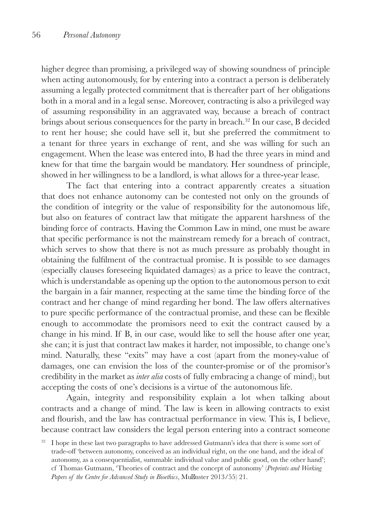higher degree than promising, a privileged way of showing soundness of principle when acting autonomously, for by entering into a contract a person is deliberately assuming a legally protected commitment that is thereafter part of her obligations both in a moral and in a legal sense. Moreover, contracting is also a privileged way of assuming responsibility in an aggravated way, because a breach of contract brings about serious consequences for the party in breach.32 In our case, B decided to rent her house; she could have sell it, but she preferred the commitment to a tenant for three years in exchange of rent, and she was willing for such an engagement. When the lease was entered into, B had the three years in mind and knew for that time the bargain would be mandatory. Her soundness of principle, showed in her willingness to be a landlord, is what allows for a three-year lease.

The fact that entering into a contract apparently creates a situation that does not enhance autonomy can be contested not only on the grounds of the condition of integrity or the value of responsibility for the autonomous life, but also on features of contract law that mitigate the apparent harshness of the binding force of contracts. Having the Common Law in mind, one must be aware that specific performance is not the mainstream remedy for a breach of contract, which serves to show that there is not as much pressure as probably thought in obtaining the fulfilment of the contractual promise. It is possible to see damages (especially clauses foreseeing liquidated damages) as a price to leave the contract, which is understandable as opening up the option to the autonomous person to exit the bargain in a fair manner, respecting at the same time the binding force of the contract and her change of mind regarding her bond. The law offers alternatives to pure specific performance of the contractual promise, and these can be flexible enough to accommodate the promisors need to exit the contract caused by a change in his mind. If B, in our case, would like to sell the house after one year, she can; it is just that contract law makes it harder, not impossible, to change one's mind. Naturally, these "exits" may have a cost (apart from the money-value of damages, one can envision the loss of the counter-promise or of the promisor's credibility in the market as *inter alia* costs of fully embracing a change of mind), but accepting the costs of one's decisions is a virtue of the autonomous life.

Again, integrity and responsibility explain a lot when talking about contracts and a change of mind. The law is keen in allowing contracts to exist and flourish, and the law has contractual performance in view. This is, I believe, because contract law considers the legal person entering into a contract someone

<sup>32</sup> I hope in these last two paragraphs to have addressed Gutmann's idea that there is some sort of trade-off 'between autonomy, conceived as an individual right, on the one hand, and the ideal of autonomy, as a consequentialist, summable individual value and public good, on the other hand'; cf Thomas Gutmann, 'Theories of contract and the concept of autonomy' (*Preprints and Working Papers of the Centre for Advanced Study in Bioethics*, Mu nster 2013/55) 21.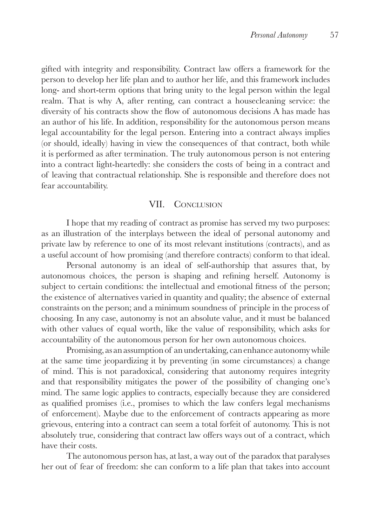gifted with integrity and responsibility. Contract law offers a framework for the person to develop her life plan and to author her life, and this framework includes long- and short-term options that bring unity to the legal person within the legal realm. That is why A, after renting, can contract a housecleaning service: the diversity of his contracts show the flow of autonomous decisions A has made has an author of his life. In addition, responsibility for the autonomous person means legal accountability for the legal person. Entering into a contract always implies (or should, ideally) having in view the consequences of that contract, both while it is performed as after termination. The truly autonomous person is not entering into a contract light-heartedly: she considers the costs of being in a contract and of leaving that contractual relationship. She is responsible and therefore does not fear accountability.

#### VII. CONCLUSION

I hope that my reading of contract as promise has served my two purposes: as an illustration of the interplays between the ideal of personal autonomy and private law by reference to one of its most relevant institutions (contracts), and as a useful account of how promising (and therefore contracts) conform to that ideal.

Personal autonomy is an ideal of self-authorship that assures that, by autonomous choices, the person is shaping and refining herself. Autonomy is subject to certain conditions: the intellectual and emotional fitness of the person; the existence of alternatives varied in quantity and quality; the absence of external constraints on the person; and a minimum soundness of principle in the process of choosing. In any case, autonomy is not an absolute value, and it must be balanced with other values of equal worth, like the value of responsibility, which asks for accountability of the autonomous person for her own autonomous choices.

Promising, as an assumption of an undertaking, can enhance autonomy while at the same time jeopardizing it by preventing (in some circumstances) a change of mind. This is not paradoxical, considering that autonomy requires integrity and that responsibility mitigates the power of the possibility of changing one's mind. The same logic applies to contracts, especially because they are considered as qualified promises (i.e., promises to which the law confers legal mechanisms of enforcement). Maybe due to the enforcement of contracts appearing as more grievous, entering into a contract can seem a total forfeit of autonomy. This is not absolutely true, considering that contract law offers ways out of a contract, which have their costs.

The autonomous person has, at last, a way out of the paradox that paralyses her out of fear of freedom: she can conform to a life plan that takes into account